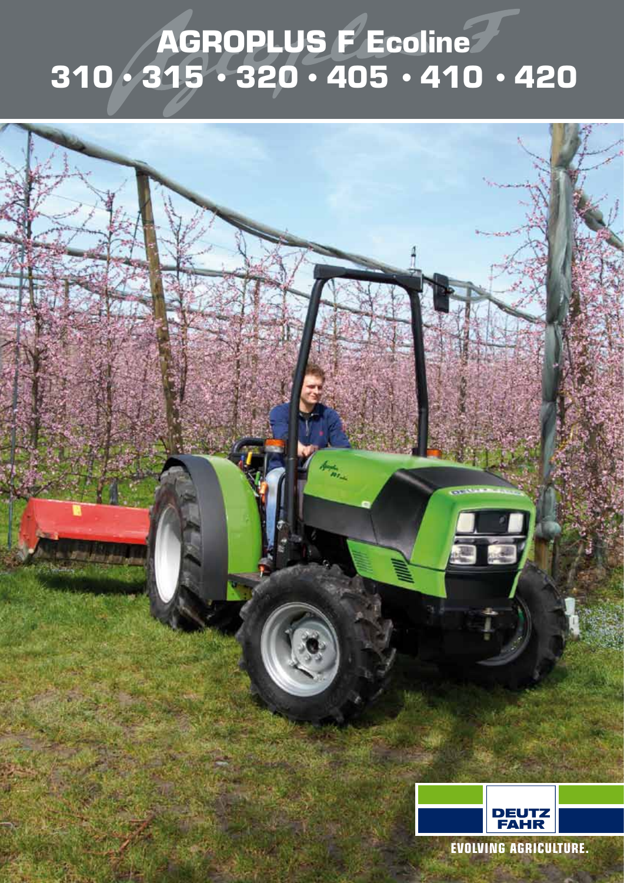## **AGROPLUS F Ecoline 310 • 315 • 320 • 405 • 410 • 420**